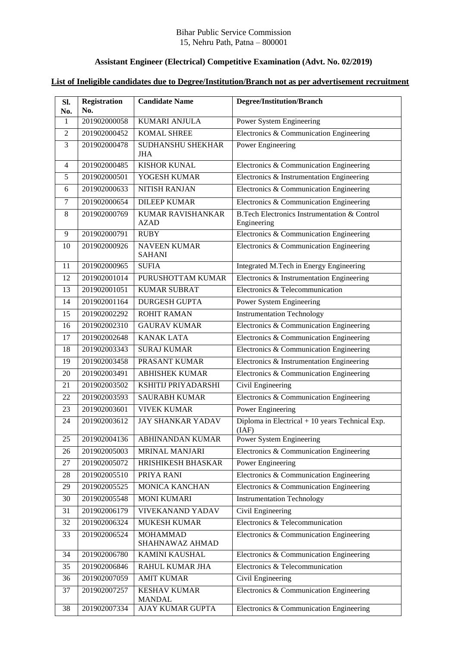## Bihar Public Service Commission 15, Nehru Path, Patna – 800001

## **Assistant Engineer (Electrical) Competitive Examination (Advt. No. 02/2019)**

## **List of Ineligible candidates due to Degree/Institution/Branch not as per advertisement recruitment**

| Sl.<br>No. | <b>Registration</b><br>No. | <b>Candidate Name</b>                   | <b>Degree/Institution/Branch</b>                                       |
|------------|----------------------------|-----------------------------------------|------------------------------------------------------------------------|
| 1          | 201902000058               | <b>KUMARI ANJULA</b>                    | Power System Engineering                                               |
| 2          | 201902000452               | <b>KOMAL SHREE</b>                      | Electronics & Communication Engineering                                |
| 3          | 201902000478               | <b>SUDHANSHU SHEKHAR</b><br><b>JHA</b>  | Power Engineering                                                      |
| 4          | 201902000485               | <b>KISHOR KUNAL</b>                     | Electronics & Communication Engineering                                |
| 5          | 201902000501               | YOGESH KUMAR                            | Electronics & Instrumentation Engineering                              |
| 6          | 201902000633               | NITISH RANJAN                           | Electronics & Communication Engineering                                |
| 7          | 201902000654               | <b>DILEEP KUMAR</b>                     | Electronics & Communication Engineering                                |
| 8          | 201902000769               | <b>KUMAR RAVISHANKAR</b><br><b>AZAD</b> | <b>B.Tech Electronics Instrumentation &amp; Control</b><br>Engineering |
| 9          | 201902000791               | <b>RUBY</b>                             | Electronics & Communication Engineering                                |
| 10         | 201902000926               | <b>NAVEEN KUMAR</b><br><b>SAHANI</b>    | Electronics & Communication Engineering                                |
| 11         | 201902000965               | <b>SUFIA</b>                            | Integrated M.Tech in Energy Engineering                                |
| 12         | 201902001014               | PURUSHOTTAM KUMAR                       | Electronics & Instrumentation Engineering                              |
| 13         | 201902001051               | <b>KUMAR SUBRAT</b>                     | Electronics & Telecommunication                                        |
| 14         | 201902001164               | <b>DURGESH GUPTA</b>                    | Power System Engineering                                               |
| 15         | 201902002292               | <b>ROHIT RAMAN</b>                      | <b>Instrumentation Technology</b>                                      |
| 16         | 201902002310               | <b>GAURAV KUMAR</b>                     | Electronics & Communication Engineering                                |
| 17         | 201902002648               | <b>KANAK LATA</b>                       | Electronics & Communication Engineering                                |
| 18         | 201902003343               | <b>SURAJ KUMAR</b>                      | Electronics & Communication Engineering                                |
| 19         | 201902003458               | PRASANT KUMAR                           | Electronics & Instrumentation Engineering                              |
| 20         | 201902003491               | <b>ABHISHEK KUMAR</b>                   | Electronics & Communication Engineering                                |
| 21         | 201902003502               | KSHITIJ PRIYADARSHI                     | Civil Engineering                                                      |
| 22         | 201902003593               | <b>SAURABH KUMAR</b>                    | Electronics & Communication Engineering                                |
| 23         | 201902003601               | <b>VIVEK KUMAR</b>                      | Power Engineering                                                      |
| 24         | 201902003612               | <b>JAY SHANKAR YADAV</b>                | Diploma in Electrical $+10$ years Technical Exp.<br>(IAF)              |
| 25         |                            | $201902004136$ ABHINANDAN KUMAR         | Power System Engineering                                               |
| 26         | 201902005003               | <b>MRINAL MANJARI</b>                   | Electronics & Communication Engineering                                |
| 27         | 201902005072               | HRISHIKESH BHASKAR                      | Power Engineering                                                      |
| 28         | 201902005510               | PRIYA RANI                              | Electronics & Communication Engineering                                |
| 29         | 201902005525               | <b>MONICA KANCHAN</b>                   | Electronics & Communication Engineering                                |
| 30         | 201902005548               | <b>MONI KUMARI</b>                      | <b>Instrumentation Technology</b>                                      |
| 31         | 201902006179               | <b>VIVEKANAND YADAV</b>                 | Civil Engineering                                                      |
| 32         | 201902006324               | <b>MUKESH KUMAR</b>                     | Electronics & Telecommunication                                        |
| 33         | 201902006524               | <b>MOHAMMAD</b><br>SHAHNAWAZ AHMAD      | Electronics & Communication Engineering                                |
| 34         | 201902006780               | <b>KAMINI KAUSHAL</b>                   | Electronics & Communication Engineering                                |
| 35         | 201902006846               | RAHUL KUMAR JHA                         | Electronics & Telecommunication                                        |
| 36         | 201902007059               | <b>AMIT KUMAR</b>                       | Civil Engineering                                                      |
| 37         | 201902007257               | <b>KESHAV KUMAR</b><br><b>MANDAL</b>    | Electronics & Communication Engineering                                |
| 38         | 201902007334               | AJAY KUMAR GUPTA                        | Electronics & Communication Engineering                                |